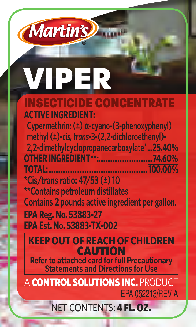# VIPER

**Martin's** 

### INSECTICIDE CONCENTRATE **ACTIVE INGREDIENT:**

 **Cypermethrin: (±) α-cyano-(3-phenoxyphenyl) ethyl (±)-cis, trans-3-(2,2-dichloroe 2,2-dimethylcyclopropanecarboxylate\*...25.40% OTHER INGREDIENT\*\*:...............................74.60% TOTAL:......................................................... 100.00%**

**\*Cis/trans ratio: 47/53 (±) 10 \*\*Contains petroleum distillates Contains 2 pounds active ingredient per gallon. EPA Reg. No. 53883-27 EPA Est. No. 53883-TX-002**

**KEEP OUT OF REACH OF CHILDREN** CAUTION

**Refer to attached card for full Precautionary Statements and Directions for Use**

A **CONTROL SOLUTIONS INC.** PRODU EPA 052213/REV A

## NET CONTENTS: 4 FL. OZ.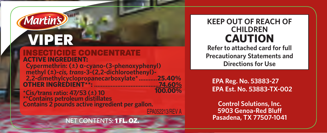## *Martin's* VIPER

INSECTICIDE CONCENTRATE **ACTIVE INGREDIENT:**

 **Cypermethrin: (±) α-cyano-(3-phenoxyphenyl) methyl (±)-***cis, trans***-3-(2,2-dichloroethenyl)- 2,2-dimethylcyclopropanecarboxylate\* ...........25.40% OTHER INGREDIENT\*\*: .......................................74.60%**

**\*Cis/trans ratio: 47/53 (±) 10 \*\*Contains petroleum distillates Contains 2 pounds active ingredient per gallon.**

## NET CONTENTS: 1 FL. OZ.

**KEEP OUT OF REACH OF CHILDREN CAUTION Refer to attached card for full Precautionary Statements and Directions for Use**

**EPA Reg. No. 53883-27 EPA Est. No. 53883-TX-002**

**Control Solutions, Inc. 5903 Genoa-Red Bluff Pasadena, TX 77507-1041**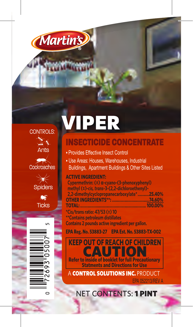

**CONTROLS:** 

ે. ક Ants Cockroaches

**Spiders** 

 $\bullet$ **Ticks**  **ANTINA** 

# **VIPER**

## **INSECTICIDE CONCENTRATE**

- Provides Effective Insect Control
- Use Areas: Houses, Warehouses, Industrial Buildings, Apartment Buildings & Other Sites Listed

### **ACTIVE INGREDIENT:**

Cypermethrin:  $(\pm)$   $\alpha$ -cyano-(3-phenoxyphenyl) methyl (±)-cis. trans-3-(2.2-dichloroethenyl)-2,2-dimethylcyclopropanecarboxylate\*unnm25.40% **OTHER INGREDIENTS**

\*Cis/trans ratio:  $47/53$  ( $\pm$ ) 10 \*\*Contains petroleum distillates Contains 2 pounds active ingredient per gallon.

EPA Reg. No. 53883-27 EPA Est. No. 53883-TX-002

**Statments and Directions for Use KEEP OUT OF REACH OF CHILDREN**<br> **CAUTION**<br> **Refer to inside of booklet for full Precautionary** 

A CONTROL SOLUTIONS INC. PRODUCT

NET CONTENTS: 1 PINT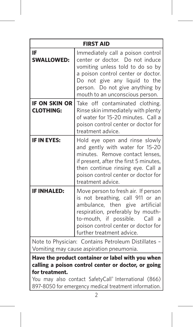| <b>FIRST AID</b>                                                                                                                                                                   |                                                                                                                                                                                                                                                         |  |
|------------------------------------------------------------------------------------------------------------------------------------------------------------------------------------|---------------------------------------------------------------------------------------------------------------------------------------------------------------------------------------------------------------------------------------------------------|--|
| IF<br><b>SWALLOWED:</b>                                                                                                                                                            | Immediately call a poison control<br>center or doctor. Do not induce<br>vomiting unless told to do so by<br>a poison control center or doctor.<br>Do not give any liquid to the<br>person. Do not give anything by<br>mouth to an unconscious person.   |  |
| <b>IF ON SKIN OR</b><br><b>CLOTHING:</b>                                                                                                                                           | Take off contaminated clothing.<br>Rinse skin immediately with plenty<br>of water for 15-20 minutes. Call a<br>poison control center or doctor for<br>treatment advice.                                                                                 |  |
| <b>IF IN EYES:</b>                                                                                                                                                                 | Hold eye open and rinse slowly<br>and gently with water for 15-20<br>minutes. Remove contact lenses,<br>if present, after the first 5 minutes,<br>then continue rinsing eye. Call a<br>poison control center or doctor for<br>treatment advice.         |  |
| <b>IF INHALED:</b>                                                                                                                                                                 | Move person to fresh air. If person<br>is not breathing, call 911 or an<br>ambulance, then give artificial<br>respiration, preferably by mouth-<br>to-mouth, if possible.<br>Call a<br>poison control center or doctor for<br>further treatment advice. |  |
|                                                                                                                                                                                    | Note to Physician: Contains Petroleum Distillates -                                                                                                                                                                                                     |  |
|                                                                                                                                                                                    | Vomiting may cause aspiration pneumonia.                                                                                                                                                                                                                |  |
| Have the product container or label with you when<br>calling a poison control center or doctor, or going<br>for treatment.<br>Vou may also contact SafetyCall® International (866) |                                                                                                                                                                                                                                                         |  |

You may also contact SafetyCall® International (866) 897-8050 for emergency medical treatment information.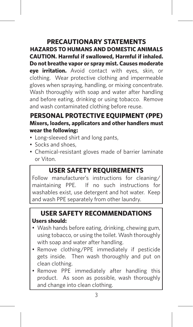## **precautionary statements**

**hazards to humans and domestic animals CAUTION. Harmful if swallowed, Harmful if inhaled. Do not breathe vapor or spray mist. Causes moderate eye irritation.** Avoid contact with eyes, skin, or clothing. Wear protective clothing and impermeable gloves when spraying, handling, or mixing concentrate. Wash thoroughly with soap and water after handling and before eating, drinking or using tobacco. Remove and wash contaminated clothing before reuse.

## **personal protective equipment (ppe) Mixers, loaders, applicators and other handlers must wear the following:**

- Long-sleeved shirt and long pants,
- Socks and shoes,
- Chemical-resistant gloves made of barrier laminate or Viton.

## **user safety reQUIREMENTS**

Follow manufacturer's instructions for cleaning/ maintaining PPE. If no such instructions for washables exist, use detergent and hot water. Keep and wash PPE separately from other laundry.

## **user safety reCOMMENDATIONS Users should:**

- Wash hands before eating, drinking, chewing gum, using tobacco, or using the toilet. Wash thoroughly with soap and water after handling.
- Remove clothing/PPE immediately if pesticide gets inside. Then wash thoroughly and put on clean clothing.
- Remove PPE immediately after handling this product. As soon as possible, wash thoroughly and change into clean clothing.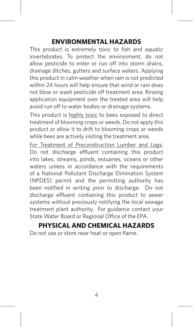### **ENVIRONMENTAL HAZARDS**

This product is extremely toxic to fish and aquatic invertebrates. To protect the environment, do not allow pesticide to enter or run off into storm drains drainage ditches, gutters and surface waters. Applying this product in calm weather when rain is not predicted within 24 hours will help ensure that wind or rain does not blow or wash pesticide off treatment area. Rinsing application equipment over the treated area will help avoid run off to water bodies or drainage systems.

This product is highly toxic to bees exposed to direct treatment of blooming crops or weeds. Do not apply this product or allow it to drift to blooming crops or weeds while bees are actively visiting the treatment area.

For Treatment of Preconstruction Lumber and Logs: Do not discharge effluent containing this product into lakes, streams, ponds, estuaries, oceans or other waters unless in accordance with the requirements of a National Pollutant Discharge Elimination System (NPDES) permit and the permitting authority has been notified in writing prior to discharge. Do not discharge effluent containing this product to sewer systems without previously notifying the local sewage treatment plant authority. For guidance contact your State Water Board or Regional Office of the EPA.

## **PHYSICAL AND CHEMICAL HAZARDS**

Do not use or store near heat or open flame.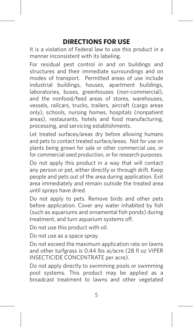## **DIRECTIONS FOR USE**

It is a violation of Federal law to use this product in a manner inconsistent with its labeling.

For residual pest control in and on buildings and structures and their immediate surroundings and on modes of transport. Permitted areas of use include industrial buildings, houses, apartment buildings, laboratories, buses, greenhouses (non-commercial), and the nonfood/feed areas of stores, warehouses, vessels, railcars, trucks, trailers, aircraft (cargo areas only), schools, nursing homes, hospitals (nonpatient areas), restaurants, hotels and food manufacturing, processing, and servicing establishments.

Let treated surfaces/areas dry before allowing humans and pets to contact treated surface/areas. Not for use on plants being grown for sale or other commercial use, or for commercial seed production, or for research purposes.

Do not apply this product in a way that will contact any person or pet, either directly or through drift. Keep people and pets out of the area during application. Exit area immediately and remain outside the treated area until sprays have dried.

Do not apply to pets. Remove birds and other pets before application. Cover any water inhabited by fish (such as aquariums and ornamental fish ponds) during treatment, and turn aquarium systems off.

Do not use this product with oil.

Do not use as a space spray.

Do not exceed the maximum application rate on lawns and other turfgrass is 0.44 lbs ai/acre (28 fl oz VIPER INSECTICIDE CONCENTRATE per acre).

Do not apply directly to swimming pools or swimming pool systems. This product may be applied as a broadcast treatment to lawns and other vegetated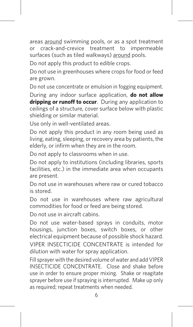areas around swimming pools, or as a spot treatment or crack-and-crevice treatment to impermeable surfaces (such as tiled walkways) around pools.

Do not apply this product to edible crops.

Do not use in greenhouses where crops for food or feed are grown.

Do not use concentrate or emulsion in fogging equipment.

During any indoor surface application, **do not allow dripping or runoff to occur**. During any application to ceilings of a structure, cover surface below with plastic shielding or similar material.

Use only in well-ventilated areas.

Do not apply this product in any room being used as living, eating, sleeping, or recovery area by patients, the elderly, or infirm when they are in the room.

Do not apply to classrooms when in use.

Do not apply to institutions (including libraries, sports facilities, etc.) in the immediate area when occupants are present.

Do not use in warehouses where raw or cured tobacco is stored.

Do not use in warehouses where raw agricultural commodities for food or feed are being stored.

Do not use in aircraft cabins.

Do not use water-based sprays in conduits, motor housings, junction boxes, switch boxes, or other electrical equipment because of possible shock hazard. VIPER INSECTICIDE CONCENTRATE is intended for dilution with water for spray application.

Fill sprayer with the desired volume of water and add VIPER INSECTICIDE CONCENTRATE. Close and shake before use in order to ensure proper mixing. Shake or reagitate sprayer before use if spraying is interrupted. Make up only as required; repeat treatments when needed.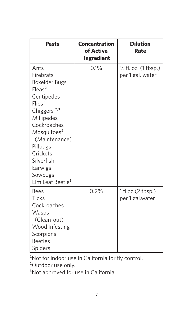| Pests                                                                                                                                                                                                                                                                                          | Concentration<br>of Active<br>Ingredient | <b>Dilution</b><br>Rate                   |
|------------------------------------------------------------------------------------------------------------------------------------------------------------------------------------------------------------------------------------------------------------------------------------------------|------------------------------------------|-------------------------------------------|
| Ants<br>Firebrats<br>Boxelder Bugs<br>$F$ leas <sup>2</sup><br>Centipedes<br>Flie <sup>1</sup><br>Chiggers <sup>2,3</sup><br>Millipedes<br>Cockroaches<br>Mosquitoes <sup>2</sup><br>(Maintenance)<br>Pillbugs<br>Crickets<br>Silverfish<br>Earwigs<br>Sowbugs<br>Elm Leaf Beetle <sup>3</sup> | 0.1%                                     | 1/2 fl. oz. (1 tbsp.)<br>per 1 gal. water |
| <b>Bees</b><br>Ticks<br>Cockroaches<br>Wasps<br>(Clean-out)<br>Wood Infesting<br>Scorpions<br><b>Beetles</b><br>Spiders                                                                                                                                                                        | 0.2%                                     | 1 fl.oz.(2 tbsp.)<br>per 1 gal.water      |

<sup>1</sup>Not for indoor use in California for fly control.

<sup>2</sup>Outdoor use only.<br><sup>3</sup>Not approved for use in California.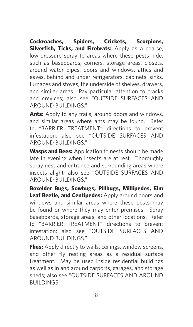**Cockroaches, Spiders, Crickets, Scorpions, Silverfish, Ticks, and Firebrats:** Apply as a coarse, low-pressure spray to areas where these pests hide, such as baseboards, corners, storage areas, closets, around water pipes, doors and windows, attics and eaves, behind and under refrigerators, cabinets, sinks, furnaces and stoves, the underside of shelves, drawers, and similar areas. Pay particular attention to cracks and crevices; also see "OUTSIDE SURFACES AND AROUND BUILDINGS"

**Ants:** Apply to any trails, around doors and windows, and similar areas where ants may be found. Refer to "BARRIER TREATMENT" directions to prevent infestation; also see "OUTSIDE SURFACES AND AROUND BUILDINGS."

**Wasps and Bees:** Application to nests should be made late in evening when insects are at rest. Thoroughly spray nest and entrance and surrounding areas where insects alight; also see "OUTSIDE SURFACES AND AROUND BUILDINGS."

**Boxelder Bugs, Sowbugs, Pillbugs, Millipedes, Elm Leaf Beetle, and Centipedes:** Apply around doors and windows and similar areas where these pests may be found or where they may enter premises. Spray baseboards, storage areas, and other locations. Refer to "BARRIER TREATMENT" directions to prevent infestation; also see "OUTSIDE SURFACES AND AROUND BUILDINGS."

**Flies:** Apply directly to walls, ceilings, window screens, and other fly resting areas as a residual surface treatment. May be used inside residential buildings as well as in and around carports, garages, and storage sheds; also see "OUTSIDE SURFACES AND AROUND **BUILDINGS**"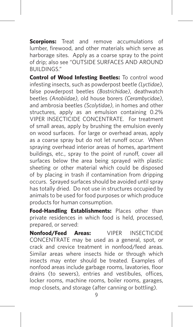**Scorpions:** Treat and remove accumulations of lumber, firewood, and other materials which serve as harborage sites. Apply as a coarse spray to the point of drip; also see "OUTSIDE SURFACES AND AROUND BUILDINGS."

**Control of Wood Infesting Beetles:** To control wood infesting insects, such as powderpost beetle *(Lyctidae)*, false powderpost beetles *(Bostrichidae)*, deathwatch beetles *(Anobiidae)*, old house borers *(Cerambycidae)*, and ambrosia beetles *(Scolytidae)*, in homes and other structures, apply as an emulsion containing 0.2% VIPER INSECTICIDE CONCENTRATE. For treatment of small areas, apply by brushing the emulsion evenly on wood surfaces. For large or overhead areas, apply as a coarse spray but do not let runoff occur. When spraying overhead interior areas of homes, apartment buildings, etc., spray to the point of runoff, cover all surfaces below the area being sprayed with plastic sheeting or other material which could be disposed of by placing in trash if contamination from dripping occurs. Sprayed surfaces should be avoided until spray has totally dried. Do not use in structures occupied by animals to be used for food purposes or which produce products for human consumption.

**Food-Handling Establishments:** Places other than private residences in which food is held, processed, prepared, or served:

**Nonfood/Feed Areas:** VIPER INSECTICIDE CONCENTRATE may be used as a general, spot, or crack and crevice treatment in nonfood/feed areas. Similar areas where insects hide or through which insects may enter should be treated. Examples of nonfood areas include garbage rooms, lavatories, floor drains (to sewers), entries and vestibules, offices, locker rooms, machine rooms, boiler rooms, garages, mop closets, and storage (after canning or bottling).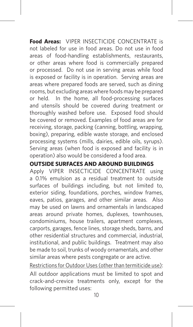**Food Areas:** VIPER INSECTICIDE CONCENTRATE is not labeled for use in food areas. Do not use in food areas of food-handling establishments, restaurants, or other areas where food is commercially prepared or processed. Do not use in serving areas while food is exposed or facility is in operation. Serving areas are areas where prepared foods are served, such as dining rooms, but excluding areas where foods may be prepared or held. In the home, all food-processing surfaces and utensils should be covered during treatment or thoroughly washed before use. Exposed food should be covered or removed. Examples of food areas are for receiving, storage, packing (canning, bottling, wrapping, boxing), preparing, edible waste storage, and enclosed processing systems (mills, dairies, edible oils, syrups). Serving areas (when food is exposed and facility is in operation) also would be considered a food area.

### **OUTSIDE SURFACES AND AROUND BUILDINGS**

Apply VIPER INSECTICIDE CONCENTRATE using a 0.1% emulsion as a residual treatment to outside surfaces of buildings including, but not limited to, exterior siding, foundations, porches, window frames, eaves, patios, garages, and other similar areas. Also may be used on lawns and ornamentals in landscaped areas around private homes, duplexes, townhouses, condominiums, house trailers, apartment complexes, carports, garages, fence lines, storage sheds, barns, and other residential structures and commercial, industrial, institutional, and public buildings. Treatment may also be made to soil, trunks of woody ornamentals, and other similar areas where pests congregate or are active.

Restrictions for Outdoor Uses (other than termiticide use): All outdoor applications must be limited to spot and crack-and-crevice treatments only, except for the following permitted uses: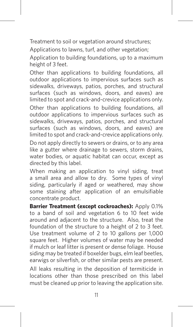Treatment to soil or vegetation around structures;

Applications to lawns, turf, and other vegetation;

Application to building foundations, up to a maximum height of 3 feet.

Other than applications to building foundations, all outdoor applications to impervious surfaces such as sidewalks, driveways, patios, porches, and structural surfaces (such as windows, doors, and eaves) are limited to spot and crack-and-crevice applications only. Other than applications to building foundations, all outdoor applications to impervious surfaces such as sidewalks, driveways, patios, porches, and structural surfaces (such as windows, doors, and eaves) are limited to spot and crack-and-crevice applications only.

Do not apply directly to sewers or drains, or to any area like a gutter where drainage to sewers, storm drains, water bodies, or aquatic habitat can occur, except as directed by this label.

When making an application to vinyl siding, treat a small area and allow to dry. Some types of vinyl siding, particularly if aged or weathered, may show some staining after application of an emulsifiable concentrate product.

**Barrier Treatment (except cockroaches):** Apply 0.1% to a band of soil and vegetation 6 to 10 feet wide around and adjacent to the structure. Also, treat the foundation of the structure to a height of 2 to 3 feet. Use treatment volume of 2 to 10 gallons per 1,000 square feet. Higher volumes of water may be needed if mulch or leaf litter is present or dense foliage. House siding may be treated if boxelder bugs, elm leaf beetles, earwigs or silverfish, or other similar pests are present. All leaks resulting in the deposition of termiticide in locations other than those prescribed on this label must be cleaned up prior to leaving the application site.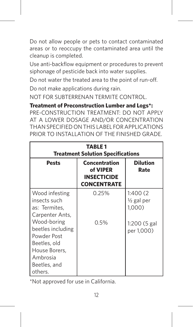Do not allow people or pets to contact contaminated areas or to reoccupy the contaminated area until the cleanup is completed.

Use anti-backflow equipment or procedures to prevent siphonage of pesticide back into water supplies.

Do not water the treated area to the point of run-off.

Do not make applications during rain.

NOT FOR SUBTERRENAN TERMITE CONTROL.

**Treatment of Preconstruction Lumber and Logs\*:**

PRE-CONSTRUCTION TREATMENT: DO NOT APPLY AT A LOWER DOSAGE AND/OR CONCENTRATION THAN SPECIFIED ON THIS LABEL FOR APPLICATIONS PRIOR TO INSTALLATION OF THE FINISHED GRADE.

| <b>TABLE 1</b><br><b>Treatment Solution Specifications</b>                                                              |                                                                       |                                                |  |
|-------------------------------------------------------------------------------------------------------------------------|-----------------------------------------------------------------------|------------------------------------------------|--|
| Pests                                                                                                                   | Concentration<br>of VIPER<br><b>INSECTICIDE</b><br><b>CONCENTRATE</b> | <b>Dilution</b><br>Rate                        |  |
| Wood infesting<br>insects such<br>as: Termites.<br>Carpenter Ants,                                                      | 0.25%                                                                 | 1:400(2)<br>$\frac{1}{2}$ gal per<br>$1,000$ ) |  |
| Wood-boring<br>beetles including<br>Powder Post<br>Beetles, old<br>House Borers,<br>Ambrosia<br>Beetles, and<br>others. | 0.5%                                                                  | 1:200 (5 gal<br>per 1,000)                     |  |

\*Not approved for use in California.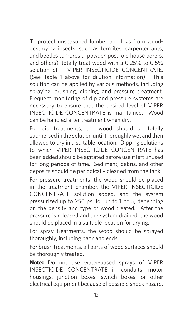To protect unseasoned lumber and logs from wooddestroying insects, such as termites, carpenter ants, and beetles (ambrosia, powder-post, old house borers, and others), totally treat wood with a 0.25% to 0.5% solution of **VIPER INSECTICIDE CONCENTRATE** (See Table 1 above for dilution information). This solution can be applied by various methods, including spraying, brushing, dipping, and pressure treatment. Frequent monitoring of dip and pressure systems are necessary to ensure that the desired level of VIPER INSECTICIDE CONCENTRATE is maintained. Wood can be handled after treatment when dry.

For dip treatments, the wood should be totally submersed in the solution until thoroughly wet and then allowed to dry in a suitable location. Dipping solutions to which VIPER INSECTICIDE CONCENTRATE has been added should be agitated before use if left unused for long periods of time. Sediment, debris, and other deposits should be periodically cleaned from the tank.

For pressure treatments, the wood should be placed in the treatment chamber, the VIPER INSECTICIDE CONCENTRATE solution added, and the system pressurized up to 250 psi for up to 1 hour, depending on the density and type of wood treated. After the pressure is released and the system drained, the wood should be placed in a suitable location for drying.

For spray treatments, the wood should be sprayed thoroughly, including back and ends.

For brush treatments, all parts of wood surfaces should be thoroughly treated.

**Note:** Do not use water-based sprays of VIPER INSECTICIDE CONCENTRATE in conduits, motor housings, junction boxes, switch boxes, or other electrical equipment because of possible shock hazard.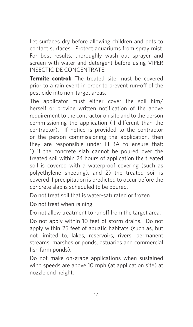Let surfaces dry before allowing children and pets to contact surfaces. Protect aquariums from spray mist. For best results, thoroughly wash out sprayer and screen with water and detergent before using VIPER INSECTICIDE CONCENTRATE.

**Termite control:** The treated site must be covered prior to a rain event in order to prevent run-off of the pesticide into non-target areas.

The applicator must either cover the soil him/ herself or provide written notification of the above requirement to the contractor on site and to the person commissioning the application (if different than the contractor). If notice is provided to the contractor or the person commissioning the application, then they are responsible under FIFRA to ensure that: 1) if the concrete slab cannot be poured over the treated soil within 24 hours of application the treated soil is covered with a waterproof covering (such as polyethylene sheeting), and 2) the treated soil is covered if precipitation is predicted to occur before the concrete slab is scheduled to be poured.

Do not treat soil that is water-saturated or frozen.

Do not treat when raining.

Do not allow treatment to runoff from the target area.

Do not apply within 10 feet of storm drains. Do not apply within 25 feet of aquatic habitats (such as, but not limited to, lakes, reservoirs, rivers, permanent streams, marshes or ponds, estuaries and commercial fish farm ponds).

Do not make on-grade applications when sustained wind speeds are above 10 mph (at application site) at nozzle end height.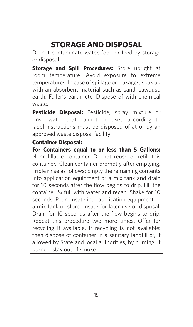## **STORAGE AND DISPOSAL**

Do not contaminate water, food or feed by storage or disposal.

**Storage and Spill Procedures:** Store upright at room temperature. Avoid exposure to extreme temperatures. In case of spillage or leakages, soak up with an absorbent material such as sand, sawdust, earth, Fuller's earth, etc. Dispose of with chemical waste.

**Pesticide Disposal:** Pesticide, spray mixture or rinse water that cannot be used according to label instructions must be disposed of at or by an approved waste disposal facility.

### **Container Disposal:**

**For Containers equal to or less than 5 Gallons:** Nonrefillable container. Do not reuse or refill this container. Clean container promptly after emptying. Triple rinse as follows: Empty the remaining contents into application equipment or a mix tank and drain for 10 seconds after the flow begins to drip. Fill the container ¼ full with water and recap. Shake for 10 seconds. Pour rinsate into application equipment or a mix tank or store rinsate for later use or disposal. Drain for 10 seconds after the flow begins to drip. Repeat this procedure two more times. Offer for recycling if available. If recycling is not available: then dispose of container in a sanitary landfill or, if allowed by State and local authorities, by burning. If burned, stay out of smoke.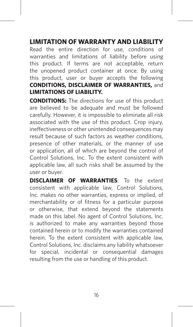### **LIMITATION OF WARRANTY AND LIABILITY**

Read the entire direction for use, conditions of warranties and limitations of liability before using this product. If terms are not acceptable, return the unopened product container at once. By using this product, user or buyer accepts the following **CONDITIONS, DISCLAIMER OF WARRANTIES,** and **LIMITATIONS OF LIABILITY.**

**CONDITIONS:** The directions for use of this product are believed to be adequate and must be followed carefully. However, it is impossible to eliminate all risk associated with the use of this product. Crop injury, ineffectiveness or other unintended consequences may result because of such factors as weather conditions, presence of other materials, or the manner of use or application, all of which are beyond the control of Control Solutions, Inc. To the extent consistent with applicable law, all such risks shall be assumed by the user or buyer.

**DISCLAIMER OF WARRANTIES**: To the extent consistent with applicable law, Control Solutions, Inc. makes no other warranties, express or implied, of merchantability or of fitness for a particular purpose or otherwise, that extend beyond the statements made on this label. No agent of Control Solutions, Inc. is authorized to make any warranties beyond those contained herein or to modify the warranties contained herein. To the extent consistent with applicable law, Control Solutions, Inc. disclaims any liability whatsoever for special, incidental or consequential damages resulting from the use or handling of this product.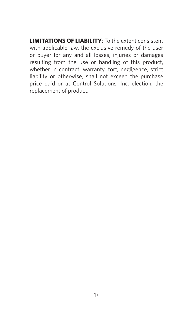**LIMITATIONS OF LIABILITY**: To the extent consistent with applicable law, the exclusive remedy of the user or buyer for any and all losses, injuries or damages resulting from the use or handling of this product, whether in contract, warranty, tort, negligence, strict liability or otherwise, shall not exceed the purchase price paid or at Control Solutions, Inc. election, the replacement of product.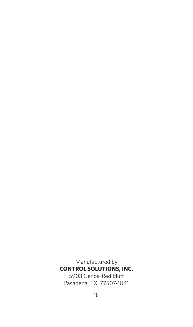Manufactured by **CONTROL SOLUTIONS, INC.** 5903 Genoa-Red Bluff Pasadena, TX 77507-1041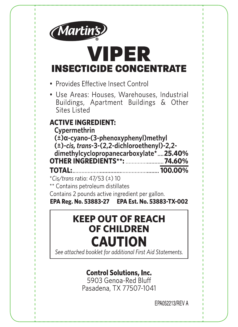

## **VIPER INSECTICIDE CONCENTRATE**

- · Provides Effective Insect Control
- · Use Areas: Houses, Warehouses, Industrial Buildings, Apartment Buildings & Other Sites Listed

## **ACTIVE INGREDIENT:**

Cypermethrin  $(\pm)\alpha$  cvano-(3-phenoxyphenyl)methyl (±)-cis, trans-3-(2,2-dichloroethenyl)-2,2dimethylcyclopropanecarboxylate\*... 25.40% **OTHER INGREDIENTS\*\*: ............................ 74.60% TOTAL:**  $100.00\%$ 

\*Cis/trans ratio: 47/53 (±) 10

\*\* Contains petroleum distillates

Contains 2 pounds active ingredient per gallon.

EPA Reg. No. 53883-27 EPA Est. No. 53883-TX-002

## **KEEP OUT OF REACH OF CHILDREN CAUTION**

See attached booklet for additional First Aid Statements.

## **Control Solutions, Inc.**

5903 Genoa-Red Bluff Pasadena, TX 77507-1041

FPA052213/RFV A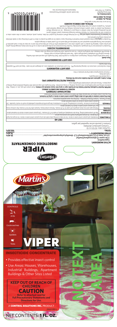Control Solutions, Inc.<br>1903 Genoa-Red Bluff<br>Solo Solutions, TX 7507-1041,

# **EPA Reg. No. 53883-27 EPA Est. No. 53883-TX-002**

or store near he

## **PHYSICAL AND CHEMICAL HAZARDS**

30 Teatmet of Preconstruction Lumber and Logic Polo discharge effluent containing this problem in lables, streams, ponds, energy oceans of the main of the main of the main of the main of the main of the main of the main of

are actively visiting the treatment area.

**NMENTAL HAZARDS ENVIRO** atatiug, can'alib agsnisho zuish mode of inition on the shoulte ion oblain on change in the indepense in the independent of interventional advanced in the state in the state in the state in the state in the state in the s



**Sulphala ADITIAN STATE SERVIGES** And the specific wash throughly and the specific wash throughly and water after handling.<br>Being the specific specific schewing gum, using tobacco, or using the toilst. Wash hand wath with

*See inside card for additional Precautionary Statements and Directions for Use.*

chemical or Viton. idations <sup>399</sup> das was water water hot hogstell are determined D**OUNAMITA PARA Struct** instructions of and the separate wall of and the separate wall of and the separate water. We have a water well of and the separate wall

• Long-sleeved shirt and long pants, • Socks and shoes,

from other laundry.

Wixers, loaders, applicators and other handfluer annet wear the following:<br>Suppose the mass of the mass of the strainer of the strain of the strain of the strain of the strain of the st<br>Suppose the continue of Hammel if in

| .noitsmyohi tnamtsatt lisilbam yanagyama yot 0208-Ve8 (dd8) Isnoitsmatnl "llsDytate? tastnoo oels ysm uoY                                                                                                                                  |                                                    |  |
|--------------------------------------------------------------------------------------------------------------------------------------------------------------------------------------------------------------------------------------------|----------------------------------------------------|--|
| Have the product container or label with you when calling a poison control center or doctor, or going for treatment.                                                                                                                       |                                                    |  |
| sinomusnq noistique Setroleum Distillates - Vomiting may cause aspiration pneumonia.                                                                                                                                                       |                                                    |  |
| a poison control center or doctor for further treatment advice.<br>Move person d'i "dtuom-ot-dtuom yd yldsteiseng "noifsriqeen laipiliths evig nedt yonslighte bille "annalmens of Dall   sin desnid til alest of all   alest des ∫l       | IF INHALED:                                        |  |
| eye. Call a poison control center or doctor for treatment advice.<br>Hold eye onal throught a buy be a buy with with with the Remove contact lenses. If present, at put the first of the shall way also the flood of a bloh                | IF IN EYES:                                        |  |
| Take off contaminated but also also provided in the plant of water for 15-20 minutes. Call a poison control center or doctor for both mannestons both spice.                                                                               | <b>CLOTHING:</b><br><b>IF ON SKIN OR</b>           |  |
| to the person. Do not give anything by mouth to an unconscious person.<br>  biupil yns avig fon oG notbob to tefnes Of doch op albud see fol the for about a bob to the form og a bob to the solot on the solot loging alls be felse being | IF SWALLOWED:                                      |  |
| <b>GIA TRAIR</b>                                                                                                                                                                                                                           |                                                    |  |
| Contains 2 pounds active ingredient per gallon.                                                                                                                                                                                            |                                                    |  |
| ** Contains petroleum distillates                                                                                                                                                                                                          | $01 \left( \pm \right)$ E2/TA :oifs anout/si $O^*$ |  |
| <b>%00'00L</b>                                                                                                                                                                                                                             | :1ATOT                                             |  |

**NO TEXT**

**AREA**

| 7000 OUR                 | $-10101$                                                                             |
|--------------------------|--------------------------------------------------------------------------------------|
| %09't/                   | <b>OLHER INGREDIENTS**:</b>                                                          |
| <b>%07.92</b>            | . tis, trans-3-(2,2-dichloroethenyl)-2,2- dimethylcyclopropanecarboxylate. $\mapsto$ |
|                          | (±)a-cyano-(3-phenoxyphenyl)methyl                                                   |
|                          | Cypermethrin                                                                         |
| ======================== | <b>ACTIVE INGREDIENT:</b>                                                            |







 $\clubsuit$ **Ticks** 



**INSECTICIDE CONCENTRATE** 

- Provides effective insect control
- Use Areas: Houses, Warehouses, Industrial Buildings, Apartment Buildings & Other Sites Listed



NET CONTENTS: 1 FL. OZ.

EPA052213/REV P

 $\overline{0}$ 70050<sub>11</sub>269241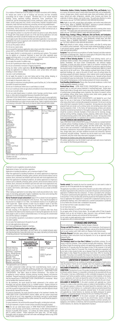## **DIRECTIONS FOR USE**

It is a violation of Hederal and to use this product in a manner inconsistent with its labeling<br>for residual pest control in and on buildings and structures and their immediate<br>surroundings and on modes of transport. Perm

Do not apply this product in a way that will contact any person or pet, either directly or through drift. Keep people and pets out of the area druing application. Exit area formediately and remain outside the treated area

Do not use this product with initial<br>and the product with initial conducts of the interaction of the standard<br>and the maximum application rate on lawns and other turfgrass is 0.44 lbs<br>ai/acre (28 fl oz VIPER INSECTICIDE CO

Do not use in aircraft cabins.<br>To not use water-based sprays in conduits, motor housings, junction boxes, switch<br>boxes, or other electrical equipment because of possible shock hazard.<br>VIPER INSECTICIDE CONCENTRATE is inten

| <b>Pests</b>                                                                                                                                                                                                                                                                                 | Concentration<br>of Active Ingredient | <b>Dilution</b><br>Rate                   |
|----------------------------------------------------------------------------------------------------------------------------------------------------------------------------------------------------------------------------------------------------------------------------------------------|---------------------------------------|-------------------------------------------|
| Ants<br>Firebrats<br>Boxelder Bugs<br>Fleas <sup>2</sup><br>Centipedes<br>Flies <sup>1</sup><br>Chiggers <sup>2,3</sup><br>Millipedes<br>Cockroaches<br>Mosquitoes <sup>2</sup><br>(Maintenance)<br>Pillbugs<br>Crickets<br>Silverfish<br>Earwigs<br>Sowbŭgs<br>Elm Leaf Beetle <sup>3</sup> | 0.1%                                  | 1/2 fl. oz. (1 tbsp.) per 1<br>gal. water |
| Bees<br><b>Ticks</b><br>Cockroaches<br>Wasps<br>(Clean-out) Wood<br>Infesting<br>Scorpions<br>Beetles<br>Spiders                                                                                                                                                                             | 0.2%                                  | 1 fl.oz.(2 tbsp.)per 1<br>gal.water       |
| <sup>1</sup> Not for indoor use in California for fly control.<br><sup>2</sup> Outdoor use only.                                                                                                                                                                                             |                                       |                                           |
| <sup>3</sup> Not approved for use in California.                                                                                                                                                                                                                                             |                                       |                                           |

Ireatment to soil or vegetation around structures;<br>Applications to lawns, turf, and other vegetation;

Application to building toundations, up to a maximum height of 3 teet.<br>Application to building foundations, all outdoor applications to impervious<br>surfaces such as sidewalks, driveways, patios, porches, and structural surf

Do not make applications during rain. NOT FOR SUBTERRENAN TERMITE CONTROL.

**Treatment of Preconstruction Lumber and Logs\*:**<br>PRE-CONSTRUCTION TREATMENT: DO NOT APPLY AT A LOWER DOSAGE AND/<br>OR CONCENTRATION THAN SPECIFIED ON THIS LABEL FOR APPLICATIONS PRIOR<br>TO INSTALLATION OF THE FINISHED GRADE

**TABLE 1**

| .<br><b>Treatment Solution Specifications</b>                                                                                                                                          |                                                                           |                                                              |
|----------------------------------------------------------------------------------------------------------------------------------------------------------------------------------------|---------------------------------------------------------------------------|--------------------------------------------------------------|
| Pests                                                                                                                                                                                  | <b>Concentration of</b><br><b>VIPER INSECTICIDE</b><br><b>CONCENTRATE</b> | <b>Dilution</b><br>Rate                                      |
| Wood infesting<br>insects such as:<br>Termites, Carpenter<br>Ants. Wood-boring<br>beetles including<br>l Powder Post<br>Beetles, old House<br>Borers, Ambrosia<br>Beetles, and others. | 0.25%<br>0.5%                                                             | 1:400 (2 1/2 gal per<br>1,000)<br>1:200 (5 gal per<br>1.000) |

The the approved for use in California.<br>The theoretocom cost in California.<br>To protect unseasoned lumber and logs from wood-destroying insects, such as<br>To protect unseasoned lumber and logs from wood-destroying insects, an

For pressure treatments, the wood should be placed in the treatment chamber, the<br>VIPER INSECTICIDE CONCENTRATE solution added, and the system pressurized<br>up to 250 psi for up to 1 hour, depending on the density and type of

For brush treatments, all parts of wood surfaces should be throughly treated.<br>**Note:** Do not use water-based sprays of VIPER INSECTICIDE CONCENTRATE in<br>conduits, motor housings, junction boxes, switch boxes, or other elect

**Cockroaches, Spiders, Crickets, Scorpions, Silverfish, Ticks, and Firebrats:** Apply<br>as a coares, low-pressure spray to areas where these pests hide, such as baseboards,<br>corners, storage areas, closels, around water pipes,

**Ants:** Apply to any trails, around doors and windows, and similar areas where ants may be found. Refer to "BARRIER TREATMENT" directions to prevent infestation;

also see "OUTSIDE SURFACES AND ARCOUND BUILDINGS."<br>Wasps and Bees Application to nears should be made late in evening when insects<br>are at rest. Thoroughly spray nest and entrance and surrounding areas where insects<br>alight;

**NOTEST THE SERVER SERVER THE SPACE SCRIPTION AND STATE STATE ORDER THANGES TO THE STAR AND TO WALK AND THE SPARNIFR THANGES THANGES THANGES THANGES THANGES THANGES THANGES THANGES THANGES THANGES THANGES THANGES THANGES T** where uses pessent and other where the secured stated and other first constant and the residential build<br>**AREA**<br>**AREA** SI as a secured and the secured stated and the secured stated and and and and secured stated and secure Which serve as harborage sites. Apply as a coarse spay to the point of drip; also see<br>
"OUTSIDE SURFACES AND AROUND BUILDINGS."<br> **Control of Wood Infesting Beetles:** To control wood infesting insects, such as<br>
powderpost b

**Nonrood/Feed Areas:** VIPER INSECTICIDE CONCENTRATE using a use as a simulate may be used as a where insects hide or through which insects may enter should be treated. Examples of nonfood/feed areas. Similar areas where in





**Termite control:** The treated site must be covered prior to a rain event in order to

prevent run-oft of the pesticide into non-target areas.<br>The application to the pesticide into non-target areas.<br>The application the above requirement to the contractor on site and to the person commissioning the<br>applicatio

Do not make on-grade applications when sustained wind speeds are above 10 mph (at application site) at nozzle end height.

**STORAGE AND DISPOSAL**<br>Do not contaminate water, food or feed by stonge and **Spill Procedures:** Store upright at room temperature. Avoid exposure to<br>extreme temperatures. In case of spillage or leakages, soak up with an ab

**Container Disposal:**<br> **Container Disposal:**<br> **Container Disposal:**<br> **Container Disposal:**<br> **Containers equal to or less than 5 Gallons:** Nonrefillable container. Do not<br>
reuse or refill this container, Clean container pro

## **LIMITATION OF WARRANTY AND LIABILITY**

Read the entire direction for use, conditions of warranties and limitations of liability before<br>using this product. If terms are not acceptable, return the unopened product container<br>at once. By using this product, user or

**CONDITIONS:** The interctions for use of this product ear believed to be adequate and must<br>be followed carefully. However, it is impossible to eliminate all risk associated with the use<br>of this product. Crop injury, ineffe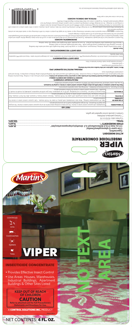VIPER

## INSECTICIDE CONCENTRATE

- Provides Effective Insect Control
- Use Areas: Houses, Warehouses, Industrial Buildings, Apartment Buildings & Other Sites Listed

## **KEEP OUT OF REACH OF CHILDREN CAUTION Refer to attached card for Full Precautionary**

**Statements and Directions for Use.**

**A CONTROL SOLUTIONS INC. PRODUCT** 







 $\overline{\phantom{a}}$ 

| <b>GIA TRAIT</b>                                                                                                                                                                                                                       |                                          |
|----------------------------------------------------------------------------------------------------------------------------------------------------------------------------------------------------------------------------------------|------------------------------------------|
| any liquid to the person. Do not give anything by mouth to an unconscious person.<br>Immediately call a poison control center or doctor. Do not induce vomiting unless told to do so by a poison control center or doctor. Do not give | <b>IF SWALLOWED:</b>                     |
| soivbs tnemtset<br>Take off contaminated cloththos ratio is a serial of the plenty of water for 15-20 minutes. Call a poison control center or doctor for                                                                              | <b>CFOLHING:</b><br><b>IF ON SKIN OR</b> |
| eontinue rinsing eye. Call a poison control center or doctor for treatment advice.<br>Hold eye open and rinse slowly and gently whih water for 15-20 minutes. Remove contact lenses if present, athe first 5 minutes, then             | IF IN EYES:                              |
| possible. Call a poison control center or doctor for further treatment advice.<br>Move person to fresh air. If person as or breathing, call 91 or an ambulance, then give artificial respiration, contected by dy mouth, if it         | <b>IF INHALED:</b>                       |
| Note to Physician: Contains Petroleum Distillates - Vomiting may cause aspiration pneumonia.                                                                                                                                           |                                          |

gnirlob svibororq nsvV . gnirlob 10 ,nixl. ,гэүе fliw bstnoo biovA **.noistimi eye astabom eaus.D alim ystra radas or oqsv arksord box od .beladi it idmnsH ,bewollswa it iumshH ,MOITUAD<br>Idsw bns svonaß .obsdot gnizu to gnik** contaminated clothing before reuse. **PERSONAL PROTECTIVE EQUIPMENT (PPE) Mixers, loaders, applicators and other handlers must wear the following:**

## • Long-sleeved shirt and long pants,

**Have the product container or label with you when calling a poison control center or doctor, or going for treatment.** 

You may also contact SafetyCall® International (866) 897-808 for emergency medical treatment information.

• Wash have physical and a file of the Section of Section of the Section of the Section of the Section of the Section of the Section of the Section of the Section of the Section of the Section of the Section of the Sectio

**PRECAUTIONARY STATEMENTS HAZARDS TO HUMANS AND DOMESTIC ANIMALS**

• Socks and shoes, Chemical-resistant gloves made of barrier laminate or Viton. •

**USER SAFETY REQUIREMENTS** Follow manufacturer's instructions of cleaning/maintains for was passed and the exist, use detergent and hot wash PPE separate in the separately the separately determined and the separate in the separate in the separate in from other laundry.

## **USER SAFETY RECOMMENDATIONS**

**Users should:**

**ENVIRONMENTAL HAZARDS**

This product is a stating astrong a submost a metaboral construction and metaborate into a mand into a stating a changer into a stating a changer into a stating a changer and stating a changer and stating a changer and sta

tlevitos ars easd alidw absow to aqoro ganimoold of thib of thi wolls to thobrod aid tydqs for od alsow to aqoro gnimoold to framisent to his beeqxe assed of <u>oixot yidaid</u> ai fouborg aidT

visiting the treatment area.



in writing prior to discharge. Do not discharge effluent containing this product to sewer systems without previously notifying the local

sewage treatment plant authority. For guidance contact your State Water Board or Regional Office of the EPA.

**PHYSICAL AND CHEMICAL HAZARDS**

Do not use or store near heat or open flame.

## **ACTIVE INGREDIENT:**

**Cypermethrin -cyano-(3-phenoxyphenyl)methyl <sup>α</sup> (±)**

| %00'00L | :1ATOT                                                                                                                                                |
|---------|-------------------------------------------------------------------------------------------------------------------------------------------------------|
| %09'tZ  | OTHER INGREDIENTS**:                                                                                                                                  |
| %0Þ'SZ  | $\pm$ )-cis, trans-3-(2,2-dichloroethenyl)-2,2- dimethylcyclopropanecarboxylate<br>. Conserved Conservation and the second terms of the second to the |

| $\frac{1}{2}$ Contains petroleum distillates      |
|---------------------------------------------------|
| $01 \left( \pm \right)$ EG/TA :oits is enort/siJ* |
| <u>:1ATOT</u><br>%00.00L                          |



*See inside card for additional Precautionary Statements and Directions for Use.*

EPA052213/REV A

# NET CONTENTS: 4 FL. OZ.